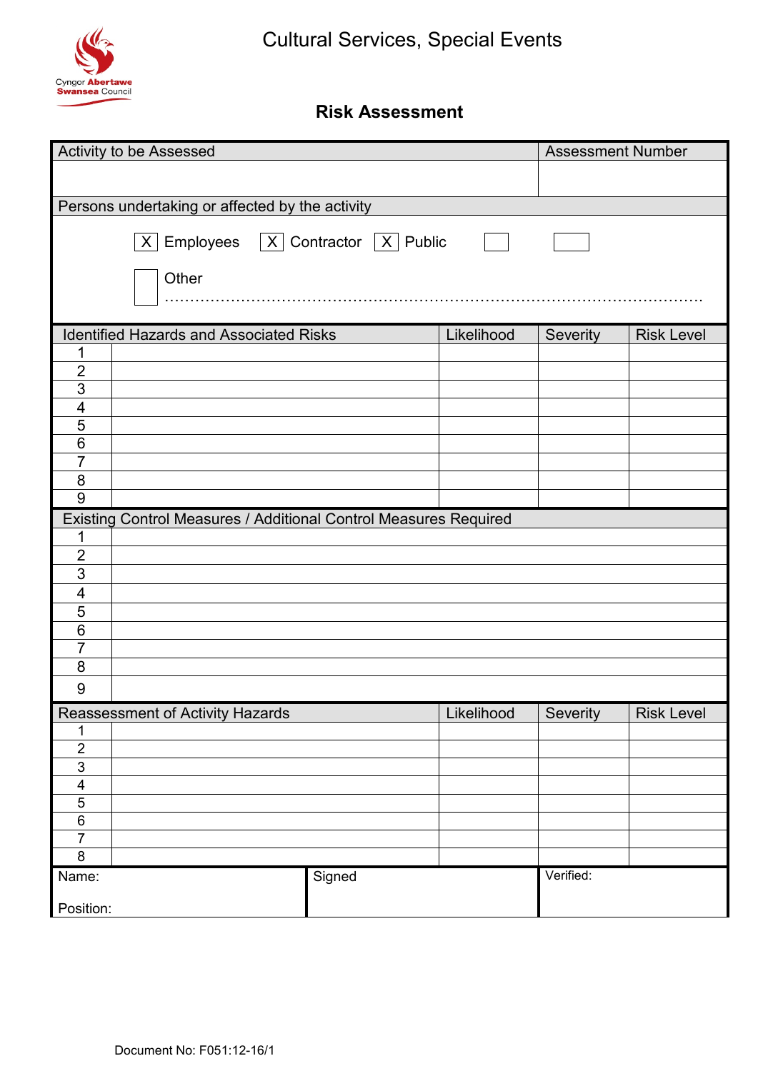

## **Risk Assessment**

| Activity to be Assessed                         |                                                                  |        |                                | <b>Assessment Number</b> |                   |  |  |  |  |  |
|-------------------------------------------------|------------------------------------------------------------------|--------|--------------------------------|--------------------------|-------------------|--|--|--|--|--|
|                                                 |                                                                  |        |                                |                          |                   |  |  |  |  |  |
|                                                 |                                                                  |        |                                |                          |                   |  |  |  |  |  |
| Persons undertaking or affected by the activity |                                                                  |        |                                |                          |                   |  |  |  |  |  |
|                                                 | $ X $ Employees $ X $ Contractor $ X $ Public                    |        |                                |                          |                   |  |  |  |  |  |
|                                                 | Other                                                            |        |                                |                          |                   |  |  |  |  |  |
|                                                 |                                                                  |        |                                |                          |                   |  |  |  |  |  |
|                                                 |                                                                  |        |                                |                          |                   |  |  |  |  |  |
|                                                 | <b>Identified Hazards and Associated Risks</b>                   |        | Likelihood                     | Severity                 | <b>Risk Level</b> |  |  |  |  |  |
| 1                                               |                                                                  |        |                                |                          |                   |  |  |  |  |  |
| $\overline{2}$                                  |                                                                  |        |                                |                          |                   |  |  |  |  |  |
| $\overline{3}$                                  |                                                                  |        |                                |                          |                   |  |  |  |  |  |
| $\overline{\mathbf{4}}$                         |                                                                  |        |                                |                          |                   |  |  |  |  |  |
| $\overline{5}$                                  |                                                                  |        |                                |                          |                   |  |  |  |  |  |
| $\overline{6}$<br>$\overline{7}$                |                                                                  |        |                                |                          |                   |  |  |  |  |  |
| $\overline{8}$                                  |                                                                  |        |                                |                          |                   |  |  |  |  |  |
| $\overline{9}$                                  |                                                                  |        |                                |                          |                   |  |  |  |  |  |
|                                                 |                                                                  |        |                                |                          |                   |  |  |  |  |  |
| $\mathbf 1$                                     | Existing Control Measures / Additional Control Measures Required |        |                                |                          |                   |  |  |  |  |  |
| $\overline{2}$                                  |                                                                  |        |                                |                          |                   |  |  |  |  |  |
| $\overline{3}$                                  |                                                                  |        |                                |                          |                   |  |  |  |  |  |
| $\overline{\mathbf{4}}$                         |                                                                  |        |                                |                          |                   |  |  |  |  |  |
| 5                                               |                                                                  |        |                                |                          |                   |  |  |  |  |  |
| $\overline{6}$                                  |                                                                  |        |                                |                          |                   |  |  |  |  |  |
| $\overline{7}$                                  |                                                                  |        |                                |                          |                   |  |  |  |  |  |
| $\overline{8}$                                  |                                                                  |        |                                |                          |                   |  |  |  |  |  |
|                                                 |                                                                  |        |                                |                          |                   |  |  |  |  |  |
| $\overline{9}$                                  |                                                                  |        |                                |                          |                   |  |  |  |  |  |
|                                                 | Reassessment of Activity Hazards                                 |        | Likelihood Severity Risk Level |                          |                   |  |  |  |  |  |
| 1                                               |                                                                  |        |                                |                          |                   |  |  |  |  |  |
| $\overline{2}$                                  |                                                                  |        |                                |                          |                   |  |  |  |  |  |
| $\overline{3}$                                  |                                                                  |        |                                |                          |                   |  |  |  |  |  |
| $\overline{\mathcal{A}}$                        |                                                                  |        |                                |                          |                   |  |  |  |  |  |
| $\mathbf 5$                                     |                                                                  |        |                                |                          |                   |  |  |  |  |  |
| $\,6$                                           |                                                                  |        |                                |                          |                   |  |  |  |  |  |
| $\overline{7}$<br>8                             |                                                                  |        |                                |                          |                   |  |  |  |  |  |
|                                                 |                                                                  |        |                                | Verified:                |                   |  |  |  |  |  |
| Name:                                           |                                                                  | Signed |                                |                          |                   |  |  |  |  |  |
| Position:                                       |                                                                  |        |                                |                          |                   |  |  |  |  |  |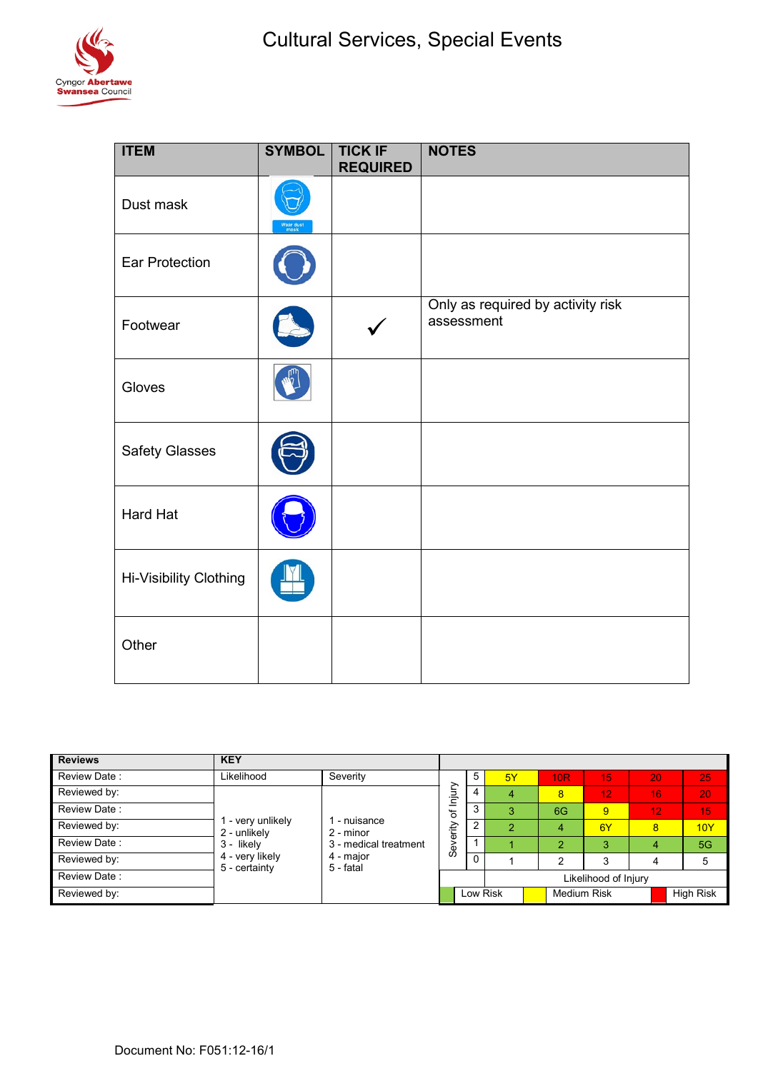

| <b>ITEM</b>            | <b>SYMBOL</b> | <b>TICK IF</b><br><b>REQUIRED</b> | <b>NOTES</b>                                    |
|------------------------|---------------|-----------------------------------|-------------------------------------------------|
| Dust mask              | Wear dust     |                                   |                                                 |
| <b>Ear Protection</b>  |               |                                   |                                                 |
| Footwear               |               |                                   | Only as required by activity risk<br>assessment |
| Gloves                 |               |                                   |                                                 |
| <b>Safety Glasses</b>  |               |                                   |                                                 |
| Hard Hat               |               |                                   |                                                 |
| Hi-Visibility Clothing |               |                                   |                                                 |
| Other                  |               |                                   |                                                 |

| <b>Reviews</b> | <b>KEY</b>                       |                                                                              |                       |   |          |                    |     |            |                  |
|----------------|----------------------------------|------------------------------------------------------------------------------|-----------------------|---|----------|--------------------|-----|------------|------------------|
| Review Date:   | Likelihood                       | Severity                                                                     |                       | 5 | 5Y       | <b>10R</b>         | T5' | 20         | 25               |
| Reviewed by:   |                                  | 1 - nuisance<br>2 - minor<br>3 - medical treatment<br>4 - major<br>5 - fatal | of Injury<br>Severity |   |          | 8                  | 12  | <b>161</b> | 20               |
| Review Date:   |                                  |                                                                              |                       | 3 |          | 6G                 | 9   | 12         | 15               |
| Reviewed by:   | - very unlikely<br>2 - unlikely  |                                                                              |                       |   |          | 4                  | 6Y  | 8          | 10Y              |
| Review Date:   | 3 - likely                       |                                                                              |                       |   |          | $\mathcal{P}$      | 3   | 4          | 5G               |
| Reviewed by:   | 4 - very likely<br>5 - certainty |                                                                              |                       |   |          | ົ                  | 3   | 4          | 5                |
| Review Date:   |                                  |                                                                              | Likelihood of Injury  |   |          |                    |     |            |                  |
| Reviewed by:   |                                  |                                                                              |                       |   | Low Risk | <b>Medium Risk</b> |     |            | <b>High Risk</b> |